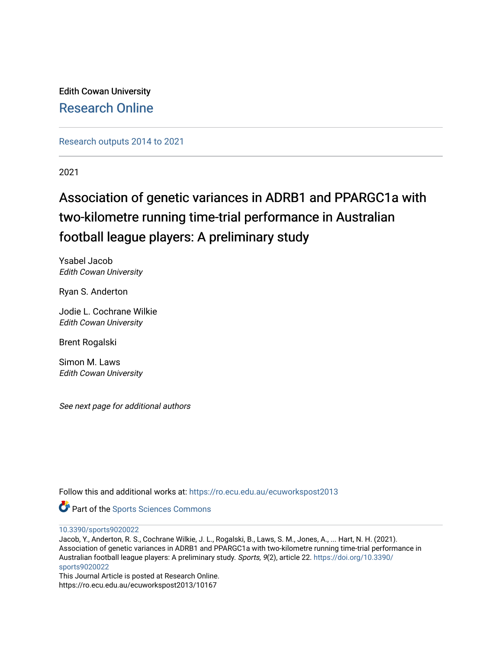Edith Cowan University [Research Online](https://ro.ecu.edu.au/) 

[Research outputs 2014 to 2021](https://ro.ecu.edu.au/ecuworkspost2013) 

2021

# Association of genetic variances in ADRB1 and PPARGC1a with two-kilometre running time-trial performance in Australian football league players: A preliminary study

Ysabel Jacob Edith Cowan University

Ryan S. Anderton

Jodie L. Cochrane Wilkie Edith Cowan University

Brent Rogalski

Simon M. Laws Edith Cowan University

See next page for additional authors

Follow this and additional works at: [https://ro.ecu.edu.au/ecuworkspost2013](https://ro.ecu.edu.au/ecuworkspost2013?utm_source=ro.ecu.edu.au%2Fecuworkspost2013%2F10167&utm_medium=PDF&utm_campaign=PDFCoverPages) 



[10.3390/sports9020022](http://dx.doi.org/10.3390/sports9020022)

Jacob, Y., Anderton, R. S., Cochrane Wilkie, J. L., Rogalski, B., Laws, S. M., Jones, A., ... Hart, N. H. (2021). Association of genetic variances in ADRB1 and PPARGC1a with two-kilometre running time-trial performance in Australian football league players: A preliminary study. Sports, 9(2), article 22. [https://doi.org/10.3390/](https://doi.org/10.3390/sports9020022) [sports9020022](https://doi.org/10.3390/sports9020022) 

This Journal Article is posted at Research Online. https://ro.ecu.edu.au/ecuworkspost2013/10167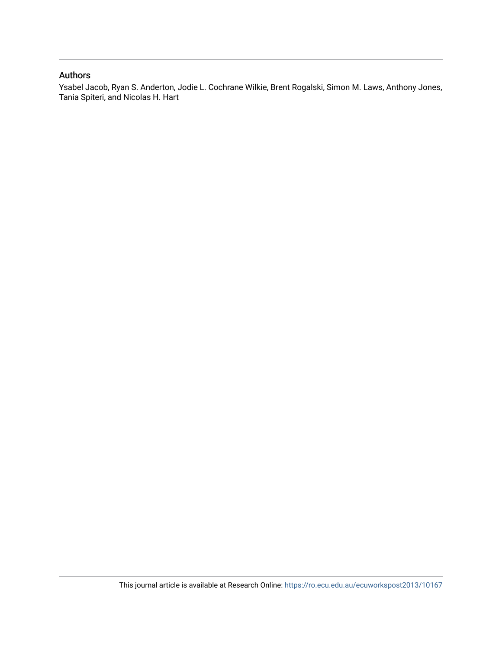## Authors

Ysabel Jacob, Ryan S. Anderton, Jodie L. Cochrane Wilkie, Brent Rogalski, Simon M. Laws, Anthony Jones, Tania Spiteri, and Nicolas H. Hart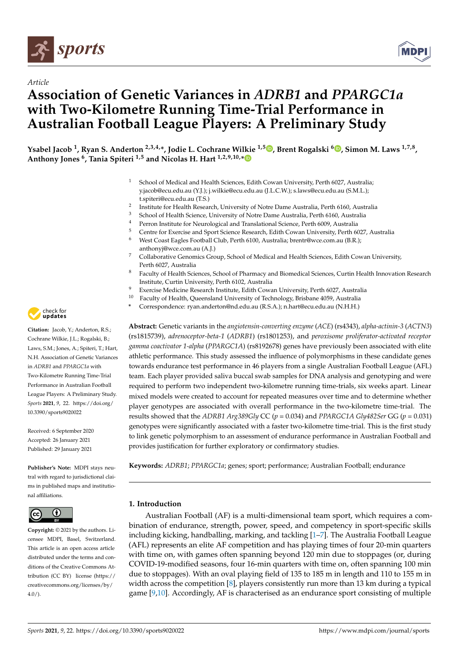

*Article*



## **Association of Genetic Variances in** *ADRB1* **and** *PPARGC1a* **with Two-Kilometre Running Time-Trial Performance in Australian Football League Players: A Preliminary Study**

**Ysabel Jacob <sup>1</sup> , Ryan S. Anderton 2,3,4,\*, Jodie L. Cochrane Wilkie 1,5 [,](https://orcid.org/0000-0003-1234-9579) Brent Rogalski <sup>6</sup> [,](https://orcid.org/0000-0001-6330-1343) Simon M. Laws 1,7,8 , Anthony Jones <sup>6</sup> , Tania Spiteri 1,5 and Nicolas H. Hart 1,2,9,10,[\\*](https://orcid.org/0000-0003-2794-0193)**

- <sup>1</sup> School of Medical and Health Sciences, Edith Cowan University, Perth 6027, Australia; y.jacob@ecu.edu.au (Y.J.); j.wilkie@ecu.edu.au (J.L.C.W.); s.laws@ecu.edu.au (S.M.L.); t.spiteri@ecu.edu.au (T.S.)
- 2 Institute for Health Research, University of Notre Dame Australia, Perth 6160, Australia
- <sup>3</sup> School of Health Science, University of Notre Dame Australia, Perth 6160, Australia
- <sup>4</sup> Perron Institute for Neurological and Translational Science, Perth 6009, Australia<br><sup>5</sup> Centre for Evergica and Sport Science Research, Edith Centre University Perth 60
- <sup>5</sup> Centre for Exercise and Sport Science Research, Edith Cowan University, Perth 6027, Australia<br><sup>6</sup> West Coast Fagles Football Club, Perth 6100, Australia: brentr@wce.com au (B.R.)
- <sup>6</sup> West Coast Eagles Football Club, Perth 6100, Australia; brentr@wce.com.au (B.R.); anthonyj@wce.com.au (A.J.)
- <sup>7</sup> Collaborative Genomics Group, School of Medical and Health Sciences, Edith Cowan University, Perth 6027, Australia
- <sup>8</sup> Faculty of Health Sciences, School of Pharmacy and Biomedical Sciences, Curtin Health Innovation Research Institute, Curtin University, Perth 6102, Australia
- Exercise Medicine Research Institute, Edith Cowan University, Perth 6027, Australia
- <sup>10</sup> Faculty of Health, Queensland University of Technology, Brisbane 4059, Australia
- **\*** Correspondence: ryan.anderton@nd.edu.au (R.S.A.); n.hart@ecu.edu.au (N.H.H.)

**Abstract:** Genetic variants in the *angiotensin-converting enzyme* (*ACE*) (rs4343), *alpha-actinin-3* (*ACTN3*) (rs1815739), *adrenoceptor-beta-1* (*ADRB1*) (rs1801253), and *peroxisome proliferator-activated receptor gamma coactivator 1-alpha* (*PPARGC1A*) (rs8192678) genes have previously been associated with elite athletic performance. This study assessed the influence of polymorphisms in these candidate genes towards endurance test performance in 46 players from a single Australian Football League (AFL) team. Each player provided saliva buccal swab samples for DNA analysis and genotyping and were required to perform two independent two-kilometre running time-trials, six weeks apart. Linear mixed models were created to account for repeated measures over time and to determine whether player genotypes are associated with overall performance in the two-kilometre time-trial. The results showed that the *ADRB1 Arg389Gly* CC (*p* = 0.034) and *PPARGC1A Gly482Ser* GG (*p* = 0.031) genotypes were significantly associated with a faster two-kilometre time-trial. This is the first study to link genetic polymorphism to an assessment of endurance performance in Australian Football and provides justification for further exploratory or confirmatory studies.

**Keywords:** *ADRB1*; *PPARGC1a*; genes; sport; performance; Australian Football; endurance

### **1. Introduction**

Australian Football (AF) is a multi-dimensional team sport, which requires a combination of endurance, strength, power, speed, and competency in sport-specific skills including kicking, handballing, marking, and tackling [\[1](#page-10-0)[–7\]](#page-10-1). The Australia Football League (AFL) represents an elite AF competition and has playing times of four 20-min quarters with time on, with games often spanning beyond 120 min due to stoppages (or, during COVID-19-modified seasons, four 16-min quarters with time on, often spanning 100 min due to stoppages). With an oval playing field of 135 to 185 m in length and 110 to 155 m in width across the competition [\[8\]](#page-10-2), players consistently run more than 13 km during a typical game [\[9](#page-10-3)[,10\]](#page-10-4). Accordingly, AF is characterised as an endurance sport consisting of multiple



**Citation:** Jacob, Y.; Anderton, R.S.; Cochrane Wilkie, J.L.; Rogalski, B.; Laws, S.M.; Jones, A.; Spiteri, T.; Hart, N.H. Association of Genetic Variances in *ADRB1* and *PPARGC1a* with Two-Kilometre Running Time-Trial Performance in Australian Football League Players: A Preliminary Study. *Sports* **2021**, *9*, 22. [https://doi.org/](https://doi.org/10.3390/sports9020022) [10.3390/sports9020022](https://doi.org/10.3390/sports9020022)

Received: 6 September 2020 Accepted: 26 January 2021 Published: 29 January 2021

**Publisher's Note:** MDPI stays neutral with regard to jurisdictional claims in published maps and institutional affiliations.



**Copyright:** © 2021 by the authors. Licensee MDPI, Basel, Switzerland. This article is an open access article distributed under the terms and conditions of the Creative Commons Attribution (CC BY) license [\(https://](https://creativecommons.org/licenses/by/4.0/) [creativecommons.org/licenses/by/](https://creativecommons.org/licenses/by/4.0/)  $4.0/$ ).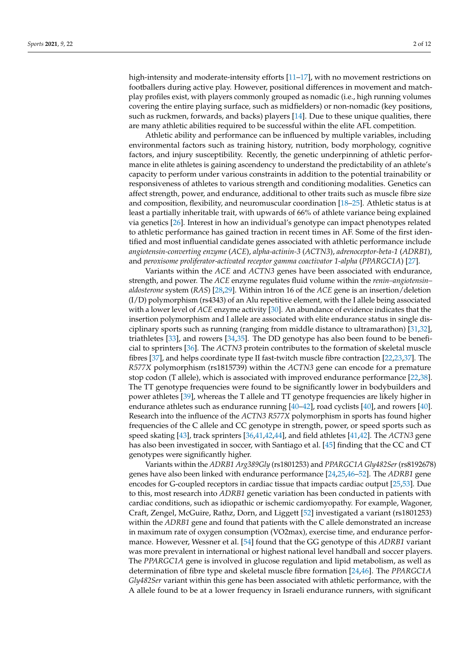high-intensity and moderate-intensity efforts [\[11–](#page-10-5)[17\]](#page-10-6), with no movement restrictions on footballers during active play. However, positional differences in movement and matchplay profiles exist, with players commonly grouped as nomadic (i.e., high running volumes covering the entire playing surface, such as midfielders) or non-nomadic (key positions, such as ruckmen, forwards, and backs) players [\[14\]](#page-10-7). Due to these unique qualities, there are many athletic abilities required to be successful within the elite AFL competition.

Athletic ability and performance can be influenced by multiple variables, including environmental factors such as training history, nutrition, body morphology, cognitive factors, and injury susceptibility. Recently, the genetic underpinning of athletic performance in elite athletes is gaining ascendency to understand the predictability of an athlete's capacity to perform under various constraints in addition to the potential trainability or responsiveness of athletes to various strength and conditioning modalities. Genetics can affect strength, power, and endurance, additional to other traits such as muscle fibre size and composition, flexibility, and neuromuscular coordination [\[18–](#page-10-8)[25\]](#page-11-0). Athletic status is at least a partially inheritable trait, with upwards of 66% of athlete variance being explained via genetics [\[26\]](#page-11-1). Interest in how an individual's genotype can impact phenotypes related to athletic performance has gained traction in recent times in AF. Some of the first identified and most influential candidate genes associated with athletic performance include *angiotensin-converting enzyme* (*ACE*), *alpha-actinin-3* (*ACTN3*), *adrenoceptor-beta-1* (*ADRB1*), and *peroxisome proliferator-activated receptor gamma coactivator 1-alpha* (*PPARGC1A*) [\[27\]](#page-11-2).

Variants within the *ACE* and *ACTN3* genes have been associated with endurance, strength, and power. The *ACE* enzyme regulates fluid volume within the *renin–angiotensin– aldosterone* system (*RAS*) [\[28](#page-11-3)[,29\]](#page-11-4). Within intron 16 of the *ACE* gene is an insertion/deletion  $(I/D)$  polymorphism (rs4343) of an Alu repetitive element, with the I allele being associated with a lower level of *ACE* enzyme activity [\[30\]](#page-11-5). An abundance of evidence indicates that the insertion polymorphism and I allele are associated with elite endurance status in single disciplinary sports such as running (ranging from middle distance to ultramarathon) [\[31](#page-11-6)[,32\]](#page-11-7), triathletes [\[33\]](#page-11-8), and rowers [\[34,](#page-11-9)[35\]](#page-11-10). The DD genotype has also been found to be beneficial to sprinters [\[36\]](#page-11-11). The *ACTN3* protein contributes to the formation of skeletal muscle fibres [\[37\]](#page-11-12), and helps coordinate type II fast-twitch muscle fibre contraction [\[22,](#page-10-9)[23,](#page-11-13)[37\]](#page-11-12). The *R577X* polymorphism (rs1815739) within the *ACTN3* gene can encode for a premature stop codon (T allele), which is associated with improved endurance performance [\[22,](#page-10-9)[38\]](#page-11-14). The TT genotype frequencies were found to be significantly lower in bodybuilders and power athletes [\[39\]](#page-11-15), whereas the T allele and TT genotype frequencies are likely higher in endurance athletes such as endurance running  $[40-42]$  $[40-42]$ , road cyclists  $[40]$ , and rowers  $[40]$ . Research into the influence of the *ACTN3 R577X* polymorphism in sports has found higher frequencies of the C allele and CC genotype in strength, power, or speed sports such as speed skating [\[43\]](#page-11-18), track sprinters [\[36](#page-11-11)[,41,](#page-11-19)[42,](#page-11-17)[44\]](#page-11-20), and field athletes [\[41,](#page-11-19)[42\]](#page-11-17). The *ACTN3* gene has also been investigated in soccer, with Santiago et al. [\[45\]](#page-11-21) finding that the CC and CT genotypes were significantly higher.

Variants within the *ADRB1 Arg389Gly* (rs1801253) and *PPARGC1A Gly482Ser*(rs8192678) genes have also been linked with endurance performance [\[24,](#page-11-22)[25](#page-11-0)[,46](#page-11-23)[–52\]](#page-12-0). The *ADRB1* gene encodes for G-coupled receptors in cardiac tissue that impacts cardiac output [\[25,](#page-11-0)[53\]](#page-12-1). Due to this, most research into *ADRB1* genetic variation has been conducted in patients with cardiac conditions, such as idiopathic or ischemic cardiomyopathy. For example, Wagoner, Craft, Zengel, McGuire, Rathz, Dorn, and Liggett [\[52\]](#page-12-0) investigated a variant (rs1801253) within the *ADRB1* gene and found that patients with the C allele demonstrated an increase in maximum rate of oxygen consumption (VO2max), exercise time, and endurance performance. However, Wessner et al. [\[54\]](#page-12-2) found that the GG genotype of this *ADRB1* variant was more prevalent in international or highest national level handball and soccer players. The *PPARGC1A* gene is involved in glucose regulation and lipid metabolism, as well as determination of fibre type and skeletal muscle fibre formation [\[24,](#page-11-22)[46\]](#page-11-23). The *PPARGC1A Gly482Ser* variant within this gene has been associated with athletic performance, with the A allele found to be at a lower frequency in Israeli endurance runners, with significant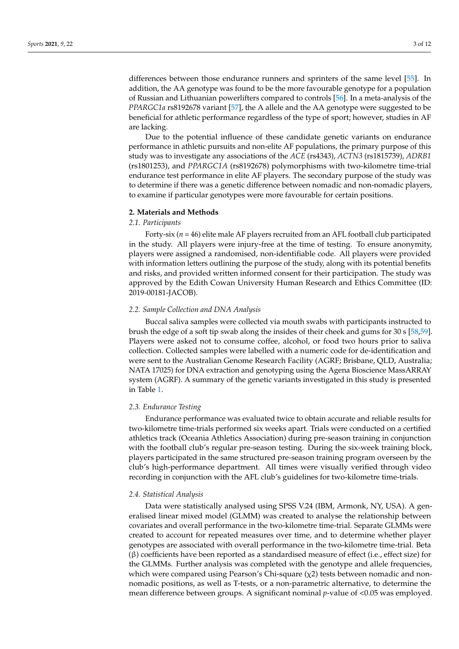differences between those endurance runners and sprinters of the same level [\[55\]](#page-12-3). In addition, the AA genotype was found to be the more favourable genotype for a population of Russian and Lithuanian powerlifters compared to controls [\[56\]](#page-12-4). In a meta-analysis of the *PPARGC1a* rs8192678 variant [\[57\]](#page-12-5), the A allele and the AA genotype were suggested to be beneficial for athletic performance regardless of the type of sport; however, studies in AF are lacking.

Due to the potential influence of these candidate genetic variants on endurance performance in athletic pursuits and non-elite AF populations, the primary purpose of this study was to investigate any associations of the *ACE* (rs4343), *ACTN3* (rs1815739), *ADRB1* (rs1801253), and *PPARGC1A* (rs8192678) polymorphisms with two-kilometre time-trial endurance test performance in elite AF players. The secondary purpose of the study was to determine if there was a genetic difference between nomadic and non-nomadic players, to examine if particular genotypes were more favourable for certain positions.

#### **2. Materials and Methods**

#### *2.1. Participants*

Forty-six (*n* = 46) elite male AF players recruited from an AFL football club participated in the study. All players were injury-free at the time of testing. To ensure anonymity, players were assigned a randomised, non-identifiable code. All players were provided with information letters outlining the purpose of the study, along with its potential benefits and risks, and provided written informed consent for their participation. The study was approved by the Edith Cowan University Human Research and Ethics Committee (ID: 2019-00181-JACOB).

#### *2.2. Sample Collection and DNA Analysis*

Buccal saliva samples were collected via mouth swabs with participants instructed to brush the edge of a soft tip swab along the insides of their cheek and gums for 30 s [\[58](#page-12-6)[,59\]](#page-12-7). Players were asked not to consume coffee, alcohol, or food two hours prior to saliva collection. Collected samples were labelled with a numeric code for de-identification and were sent to the Australian Genome Research Facility (AGRF; Brisbane, QLD, Australia; NATA 17025) for DNA extraction and genotyping using the Agena Bioscience MassARRAY system (AGRF). A summary of the genetic variants investigated in this study is presented in Table [1.](#page-5-0)

#### *2.3. Endurance Testing*

Endurance performance was evaluated twice to obtain accurate and reliable results for two-kilometre time-trials performed six weeks apart. Trials were conducted on a certified athletics track (Oceania Athletics Association) during pre-season training in conjunction with the football club's regular pre-season testing. During the six-week training block, players participated in the same structured pre-season training program overseen by the club's high-performance department. All times were visually verified through video recording in conjunction with the AFL club's guidelines for two-kilometre time-trials.

#### *2.4. Statistical Analysis*

Data were statistically analysed using SPSS V.24 (IBM, Armonk, NY, USA). A generalised linear mixed model (GLMM) was created to analyse the relationship between covariates and overall performance in the two-kilometre time-trial. Separate GLMMs were created to account for repeated measures over time, and to determine whether player genotypes are associated with overall performance in the two-kilometre time-trial. Beta (β) coefficients have been reported as a standardised measure of effect (i.e., effect size) for the GLMMs. Further analysis was completed with the genotype and allele frequencies, which were compared using Pearson's Chi-square  $(\chi^2)$  tests between nomadic and nonnomadic positions, as well as T-tests, or a non-parametric alternative, to determine the mean difference between groups. A significant nominal *p*-value of <0.05 was employed.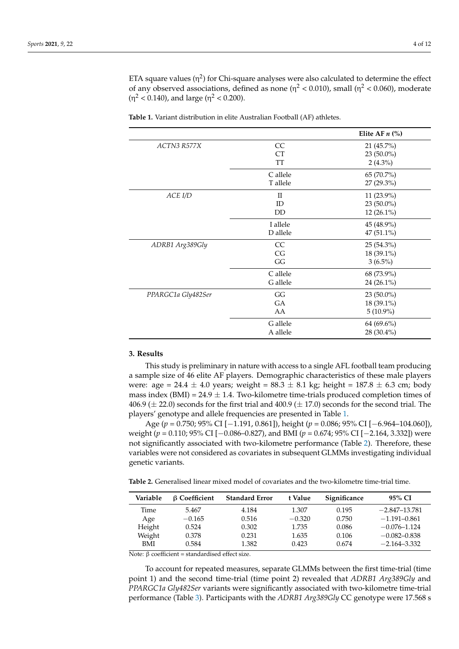ETA square values  $(\eta^2)$  for Chi-square analyses were also calculated to determine the effect of any observed associations, defined as none ( $\eta^2$  < 0.010), small ( $\eta^2$  < 0.060), moderate  $(η<sup>2</sup> < 0.140)$ , and large  $(η<sup>2</sup> < 0.200)$ .

|                    |              | Elite AF $n$ (%) |
|--------------------|--------------|------------------|
| ACTN3 R577X        | CC           | 21 (45.7%)       |
|                    | <b>CT</b>    | 23 (50.0%)       |
|                    | <b>TT</b>    | $2(4.3\%)$       |
|                    | C allele     | 65 (70.7%)       |
|                    | T allele     | 27 (29.3%)       |
| ACE I/D            | $\mathbf{I}$ | 11 (23.9%)       |
|                    | ID           | $23(50.0\%)$     |
|                    | <b>DD</b>    | 12 (26.1%)       |
|                    | I allele     | 45 (48.9%)       |
|                    | D allele     | 47 (51.1%)       |
| ADRB1 Arg389Gly    | <b>CC</b>    | 25 (54.3%)       |
|                    | CG           | 18 (39.1%)       |
|                    | GG           | $3(6.5\%)$       |
|                    | C allele     | 68 (73.9%)       |
|                    | G allele     | 24 (26.1%)       |
| PPARGC1a Gly482Ser | GG           | 23 (50.0%)       |
|                    | <b>GA</b>    | 18 (39.1%)       |
|                    | AA           | $5(10.9\%)$      |
|                    | G allele     | 64 (69.6%)       |
|                    | A allele     | 28 (30.4%)       |

<span id="page-5-0"></span>**Table 1.** Variant distribution in elite Australian Football (AF) athletes.

#### **3. Results**

This study is preliminary in nature with access to a single AFL football team producing a sample size of 46 elite AF players. Demographic characteristics of these male players were:  $\text{age} = 24.4 \pm 4.0 \text{ years}$ ; weight =  $88.3 \pm 8.1 \text{ kg}$ ; height =  $187.8 \pm 6.3 \text{ cm}$ ; body mass index (BMI) =  $24.9 \pm 1.4$ . Two-kilometre time-trials produced completion times of 406.9 ( $\pm$  22.0) seconds for the first trial and 400.9 ( $\pm$  17.0) seconds for the second trial. The players' genotype and allele frequencies are presented in Table [1.](#page-5-0)

Age (*p* = 0.750; 95% CI [−1.191, 0.861]), height (*p* = 0.086; 95% CI [−6.964–104.060]), weight (*p* = 0.110; 95% CI [−0.086–0.827), and BMI (*p* = 0.674; 95% CI [−2.164, 3.332]) were not significantly associated with two-kilometre performance (Table [2\)](#page-5-1). Therefore, these variables were not considered as covariates in subsequent GLMMs investigating individual genetic variants.

<span id="page-5-1"></span>**Table 2.** Generalised linear mixed model of covariates and the two-kilometre time-trial time.

| Variable | <b>B</b> Coefficient | <b>Standard Error</b> | t Value  | Significance | 95% CI            |
|----------|----------------------|-----------------------|----------|--------------|-------------------|
| Time     | 5.467                | 4.184                 | 1.307    | 0.195        | $-2.847 - 13.781$ |
| Age      | $-0.165$             | 0.516                 | $-0.320$ | 0.750        | $-1.191 - 0.861$  |
| Height   | 0.524                | 0.302                 | 1.735    | 0.086        | $-0.076 - 1.124$  |
| Weight   | 0.378                | 0.231                 | 1.635    | 0.106        | $-0.082 - 0.838$  |
| BMI      | 0.584                | 1.382                 | 0.423    | 0.674        | $-2.164 - 3.332$  |

Note: β coefficient = standardised effect size.

To account for repeated measures, separate GLMMs between the first time-trial (time point 1) and the second time-trial (time point 2) revealed that *ADRB1 Arg389Gly* and *PPARGC1a Gly482Ser* variants were significantly associated with two-kilometre time-trial performance (Table [3\)](#page-6-0). Participants with the *ADRB1 Arg389Gly* CC genotype were 17.568 s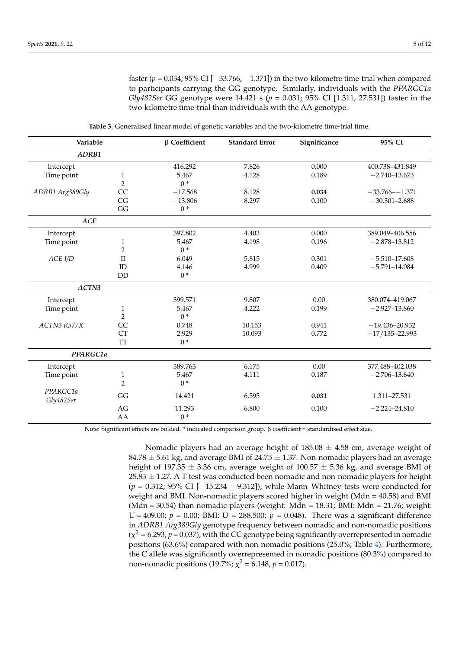faster (*p* = 0.034; 95% CI [−33.766, −1.371]) in the two-kilometre time-trial when compared to participants carrying the GG genotype. Similarly, individuals with the *PPARGC1a Gly482Ser* GG genotype were 14.421 s (*p* = 0.031; 95% CI [1.311, 27.531]) faster in the two-kilometre time-trial than individuals with the AA genotype.

<span id="page-6-0"></span>

| Variable              |                | $\beta$ Coefficient | <b>Standard Error</b> | Significance | 95% CI             |
|-----------------------|----------------|---------------------|-----------------------|--------------|--------------------|
| ADRB1                 |                |                     |                       |              |                    |
| Intercept             |                | 416.292             | 7.826                 | 0.000        | 400.738-431.849    |
| Time point            | $\mathbf{1}$   | 5.467               | 4.128                 | 0.189        | $-2.740 - 13.673$  |
|                       | $\overline{2}$ | $0*$                |                       |              |                    |
| ADRB1 Arg389Gly       | CC             | $-17.568$           | 8.128                 | 0.034        | $-33.766 - -1.371$ |
|                       | CG             | $-13.806$           | 8.297                 | 0.100        | $-30.301 - 2.688$  |
|                       | GG             | $0*$                |                       |              |                    |
| <b>ACE</b>            |                |                     |                       |              |                    |
| Intercept             |                | 397.802             | 4.403                 | 0.000        | 389.049-406.556    |
| Time point            | $\mathbf{1}$   | 5.467               | 4.198                 | 0.196        | $-2.878 - 13.812$  |
|                       | $\overline{2}$ | $0*$                |                       |              |                    |
| ACE I/D               | $\rm II$       | 6.049               | 5.815                 | 0.301        | $-5.510 - 17.608$  |
|                       | ID             | 4.146               | 4.999                 | 0.409        | $-5.791 - 14.084$  |
|                       | <b>DD</b>      | $0*$                |                       |              |                    |
| ACTN3                 |                |                     |                       |              |                    |
| Intercept             |                | 399.571             | 9.807                 | 0.00         | 380.074-419.067    |
| Time point            | $\mathbf{1}$   | 5.467               | 4.222                 | 0.199        | $-2.927 - 13.860$  |
|                       | $\overline{2}$ | $0*$                |                       |              |                    |
| ACTN3 R577X           | CC             | 0.748               | 10.153                | 0.941        | $-19.436 - 20.932$ |
|                       | <b>CT</b>      | 2.929               | 10.093                | 0.772        | $-17/135 - 22.993$ |
|                       | <b>TT</b>      | $0*$                |                       |              |                    |
| PPARGC1a              |                |                     |                       |              |                    |
| Intercept             |                | 389.763             | 6.175                 | 0.00         | 377.488-402.038    |
| Time point            | $\mathbf{1}$   | 5.467               | 4.111                 | 0.187        | $-2.706 - 13.640$  |
|                       | $\overline{2}$ | $0*$                |                       |              |                    |
| PPARGC1a<br>Gly482Ser | GG             | 14.421              | 6.595                 | 0.031        | 1.311-27.531       |
|                       | AG             | 11.293              | 6.800                 | 0.100        | $-2.224 - 24.810$  |
|                       | AA             | $0*$                |                       |              |                    |
|                       |                |                     |                       |              |                    |

**Table 3.** Generalised linear model of genetic variables and the two-kilometre time-trial time.

Note: Significant effects are bolded. \* indicated comparison group. β coefficient = standardised effect size.

Nomadic players had an average height of  $185.08 \pm 4.58$  cm, average weight of 84.78  $\pm$  5.61 kg, and average BMI of 24.75  $\pm$  1.37. Non-nomadic players had an average height of 197.35  $\pm$  3.36 cm, average weight of 100.57  $\pm$  5.36 kg, and average BMI of  $25.83 \pm 1.27$ . A T-test was conducted been nomadic and non-nomadic players for height (*p* = 0.312; 95% CI [−15.234–−9.312]), while Mann–Whitney tests were conducted for weight and BMI. Non-nomadic players scored higher in weight (Mdn = 40.58) and BMI (Mdn = 30.54) than nomadic players (weight: Mdn = 18.31; BMI: Mdn = 21.76; weight: U = 409.00;  $p = 0.00$ ; BMI: U = 288.500;  $p = 0.048$ ). There was a significant difference in *ADRB1 Arg389Gly* genotype frequency between nomadic and non-nomadic positions  $(\chi^2 = 6.293, p = 0.037)$ , with the CC genotype being significantly overrepresented in nomadic positions (63.6%) compared with non-nomadic positions (25.0%; Table [4\)](#page-7-0). Furthermore, the C allele was significantly overrepresented in nomadic positions (80.3%) compared to non-nomadic positions (19.7%;  $\chi^2$  = 6.148,  $p$  = 0.017).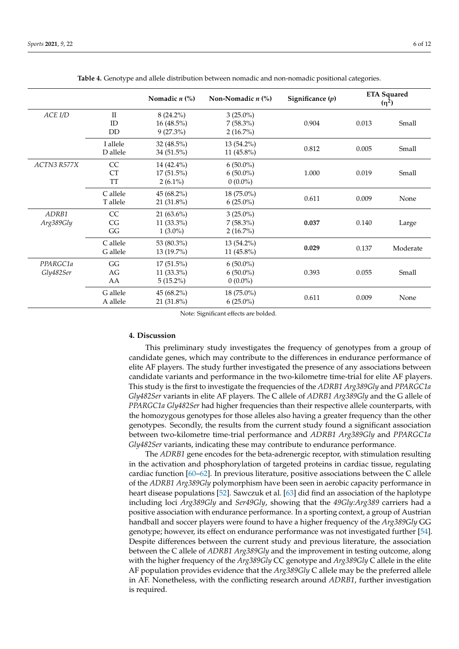<span id="page-7-0"></span>

|                       |                                 | Nomadic $n$ $\left(\frac{9}{6}\right)$      | Non-Nomadic $n$ $\frac{6}{6}$             | Significance $(p)$ | <b>ETA Squared</b><br>$(n^2)$ |          |
|-----------------------|---------------------------------|---------------------------------------------|-------------------------------------------|--------------------|-------------------------------|----------|
| ACE I/D               | $\mathbf{I}$<br>ID<br><b>DD</b> | $8(24.2\%)$<br>$16(48.5\%)$<br>$9(27.3\%)$  | $3(25.0\%)$<br>$7(58.3\%)$<br>$2(16.7\%)$ | 0.904              | 0.013                         | Small    |
|                       | I allele<br>D allele            | 32 (48.5%)<br>34 (51.5%)                    | $13(54.2\%)$<br>11 $(45.8\%)$             | 0.812              | 0.005                         | Small    |
| ACTN3 R577X           | CC<br>CT<br>TT                  | 14 (42.4%)<br>$17(51.5\%)$<br>$2(6.1\%)$    | $6(50.0\%)$<br>$6(50.0\%)$<br>$0(0.0\%)$  | 1.000              | 0.019                         | Small    |
|                       | C allele<br>T allele            | $45(68.2\%)$<br>$21(31.8\%)$                | 18 (75.0%)<br>$6(25.0\%)$                 | 0.611              | 0.009                         | None     |
| ADRB1<br>Arg389Gly    | CC<br>CG<br>GG                  | $21(63.6\%)$<br>$11(33.3\%)$<br>$1(3.0\%)$  | $3(25.0\%)$<br>$7(58.3\%)$<br>$2(16.7\%)$ | 0.037              | 0.140                         | Large    |
|                       | C allele<br>G allele            | 53 (80.3%)<br>$13(19.7\%)$                  | 13 (54.2%)<br>11 $(45.8\%)$               | 0.029              | 0.137                         | Moderate |
| PPARGC1a<br>Gly482Ser | GG<br>AG<br>AA                  | $17(51.5\%)$<br>$11(33.3\%)$<br>$5(15.2\%)$ | $6(50.0\%)$<br>$6(50.0\%)$<br>$0(0.0\%)$  | 0.393              | 0.055                         | Small    |
|                       | G allele<br>A allele            | $45(68.2\%)$<br>21 (31.8%)                  | 18 (75.0%)<br>$6(25.0\%)$                 | 0.611              | 0.009                         | None     |

**Table 4.** Genotype and allele distribution between nomadic and non-nomadic positional categories.

Note: Significant effects are bolded.

#### **4. Discussion**

This preliminary study investigates the frequency of genotypes from a group of candidate genes, which may contribute to the differences in endurance performance of elite AF players. The study further investigated the presence of any associations between candidate variants and performance in the two-kilometre time-trial for elite AF players. This study is the first to investigate the frequencies of the *ADRB1 Arg389Gly* and *PPARGC1a Gly482Ser* variants in elite AF players. The C allele of *ADRB1 Arg389Gly* and the G allele of *PPARGC1a Gly482Ser* had higher frequencies than their respective allele counterparts, with the homozygous genotypes for those alleles also having a greater frequency than the other genotypes. Secondly, the results from the current study found a significant association between two-kilometre time-trial performance and *ADRB1 Arg389Gly* and *PPARGC1a Gly482Ser* variants, indicating these may contribute to endurance performance.

The *ADRB1* gene encodes for the beta-adrenergic receptor, with stimulation resulting in the activation and phosphorylation of targeted proteins in cardiac tissue, regulating cardiac function [\[60](#page-12-8)[–62\]](#page-12-9). In previous literature, positive associations between the C allele of the *ADRB1 Arg389Gly* polymorphism have been seen in aerobic capacity performance in heart disease populations [\[52\]](#page-12-0). Sawczuk et al. [\[63\]](#page-12-10) did find an association of the haplotype including loci *Arg389Gly* and *Ser49Gly*, showing that the *49Gly:Arg389* carriers had a positive association with endurance performance. In a sporting context, a group of Austrian handball and soccer players were found to have a higher frequency of the *Arg389Gly* GG genotype; however, its effect on endurance performance was not investigated further [\[54\]](#page-12-2). Despite differences between the current study and previous literature, the association between the C allele of *ADRB1 Arg389Gly* and the improvement in testing outcome, along with the higher frequency of the *Arg389Gly* CC genotype and *Arg389Gly* C allele in the elite AF population provides evidence that the *Arg389Gly* C allele may be the preferred allele in AF. Nonetheless, with the conflicting research around *ADRB1*, further investigation is required.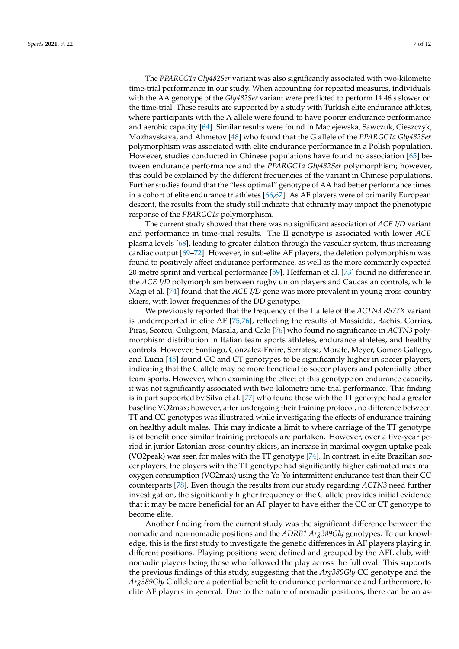The *PPARCG1a Gly482Ser* variant was also significantly associated with two-kilometre time-trial performance in our study. When accounting for repeated measures, individuals with the AA genotype of the *Gly482Ser* variant were predicted to perform 14.46 s slower on the time-trial. These results are supported by a study with Turkish elite endurance athletes, where participants with the A allele were found to have poorer endurance performance and aerobic capacity [\[64\]](#page-12-11). Similar results were found in Maciejewska, Sawczuk, Cieszczyk, Mozhayskaya, and Ahmetov [\[48\]](#page-11-24) who found that the G allele of the *PPARGC1a Gly482Ser* polymorphism was associated with elite endurance performance in a Polish population. However, studies conducted in Chinese populations have found no association [\[65\]](#page-12-12) between endurance performance and the *PPARGC1a Gly482Ser* polymorphism; however, this could be explained by the different frequencies of the variant in Chinese populations. Further studies found that the "less optimal" genotype of AA had better performance times in a cohort of elite endurance triathletes [\[66,](#page-12-13)[67\]](#page-12-14). As AF players were of primarily European descent, the results from the study still indicate that ethnicity may impact the phenotypic response of the *PPARGC1a* polymorphism.

The current study showed that there was no significant association of *ACE I/D* variant and performance in time-trial results. The II genotype is associated with lower *ACE* plasma levels [\[68\]](#page-12-15), leading to greater dilation through the vascular system, thus increasing cardiac output [\[69–](#page-12-16)[72\]](#page-12-17). However, in sub-elite AF players, the deletion polymorphism was found to positively affect endurance performance, as well as the more commonly expected 20-metre sprint and vertical performance [\[59\]](#page-12-7). Heffernan et al. [\[73\]](#page-12-18) found no difference in the *ACE I/D* polymorphism between rugby union players and Caucasian controls, while Magi et al. [\[74\]](#page-12-19) found that the *ACE I/D* gene was more prevalent in young cross-country skiers, with lower frequencies of the DD genotype.

We previously reported that the frequency of the T allele of the *ACTN3 R577X* variant is underreported in elite AF [\[75,](#page-13-0)[76\]](#page-13-1), reflecting the results of Massidda, Bachis, Corrias, Piras, Scorcu, Culigioni, Masala, and Calo [\[76\]](#page-13-1) who found no significance in *ACTN3* polymorphism distribution in Italian team sports athletes, endurance athletes, and healthy controls. However, Santiago, Gonzalez-Freire, Serratosa, Morate, Meyer, Gomez-Gallego, and Lucia [\[45\]](#page-11-21) found CC and CT genotypes to be significantly higher in soccer players, indicating that the C allele may be more beneficial to soccer players and potentially other team sports. However, when examining the effect of this genotype on endurance capacity, it was not significantly associated with two-kilometre time-trial performance. This finding is in part supported by Silva et al. [\[77\]](#page-13-2) who found those with the TT genotype had a greater baseline VO2max; however, after undergoing their training protocol, no difference between TT and CC genotypes was illustrated while investigating the effects of endurance training on healthy adult males. This may indicate a limit to where carriage of the TT genotype is of benefit once similar training protocols are partaken. However, over a five-year period in junior Estonian cross-country skiers, an increase in maximal oxygen uptake peak (VO2peak) was seen for males with the TT genotype [\[74\]](#page-12-19). In contrast, in elite Brazilian soccer players, the players with the TT genotype had significantly higher estimated maximal oxygen consumption (VO2max) using the Yo-Yo intermittent endurance test than their CC counterparts [\[78\]](#page-13-3). Even though the results from our study regarding *ACTN3* need further investigation, the significantly higher frequency of the C allele provides initial evidence that it may be more beneficial for an AF player to have either the CC or CT genotype to become elite.

Another finding from the current study was the significant difference between the nomadic and non-nomadic positions and the *ADRB1 Arg389Gly* genotypes. To our knowledge, this is the first study to investigate the genetic differences in AF players playing in different positions. Playing positions were defined and grouped by the AFL club, with nomadic players being those who followed the play across the full oval. This supports the previous findings of this study, suggesting that the *Arg389Gly* CC genotype and the *Arg389Gly* C allele are a potential benefit to endurance performance and furthermore, to elite AF players in general. Due to the nature of nomadic positions, there can be an as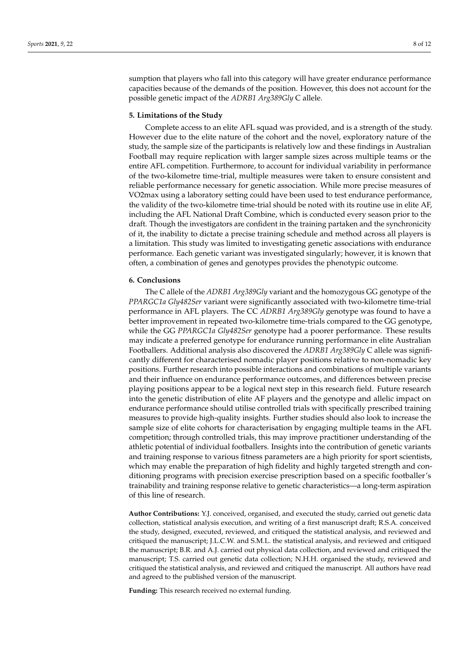sumption that players who fall into this category will have greater endurance performance capacities because of the demands of the position. However, this does not account for the possible genetic impact of the *ADRB1 Arg389Gly* C allele.

#### **5. Limitations of the Study**

Complete access to an elite AFL squad was provided, and is a strength of the study. However due to the elite nature of the cohort and the novel, exploratory nature of the study, the sample size of the participants is relatively low and these findings in Australian Football may require replication with larger sample sizes across multiple teams or the entire AFL competition. Furthermore, to account for individual variability in performance of the two-kilometre time-trial, multiple measures were taken to ensure consistent and reliable performance necessary for genetic association. While more precise measures of VO2max using a laboratory setting could have been used to test endurance performance, the validity of the two-kilometre time-trial should be noted with its routine use in elite AF, including the AFL National Draft Combine, which is conducted every season prior to the draft. Though the investigators are confident in the training partaken and the synchronicity of it, the inability to dictate a precise training schedule and method across all players is a limitation. This study was limited to investigating genetic associations with endurance performance. Each genetic variant was investigated singularly; however, it is known that often, a combination of genes and genotypes provides the phenotypic outcome.

#### **6. Conclusions**

The C allele of the *ADRB1 Arg389Gly* variant and the homozygous GG genotype of the *PPARGC1a Gly482Ser* variant were significantly associated with two-kilometre time-trial performance in AFL players. The CC *ADRB1 Arg389Gly* genotype was found to have a better improvement in repeated two-kilometre time-trials compared to the GG genotype, while the GG *PPARGC1a Gly482Ser* genotype had a poorer performance. These results may indicate a preferred genotype for endurance running performance in elite Australian Footballers. Additional analysis also discovered the *ADRB1 Arg389Gly* C allele was significantly different for characterised nomadic player positions relative to non-nomadic key positions. Further research into possible interactions and combinations of multiple variants and their influence on endurance performance outcomes, and differences between precise playing positions appear to be a logical next step in this research field. Future research into the genetic distribution of elite AF players and the genotype and allelic impact on endurance performance should utilise controlled trials with specifically prescribed training measures to provide high-quality insights. Further studies should also look to increase the sample size of elite cohorts for characterisation by engaging multiple teams in the AFL competition; through controlled trials, this may improve practitioner understanding of the athletic potential of individual footballers. Insights into the contribution of genetic variants and training response to various fitness parameters are a high priority for sport scientists, which may enable the preparation of high fidelity and highly targeted strength and conditioning programs with precision exercise prescription based on a specific footballer's trainability and training response relative to genetic characteristics—a long-term aspiration of this line of research.

**Author Contributions:** Y.J. conceived, organised, and executed the study, carried out genetic data collection, statistical analysis execution, and writing of a first manuscript draft; R.S.A. conceived the study, designed, executed, reviewed, and critiqued the statistical analysis, and reviewed and critiqued the manuscript; J.L.C.W. and S.M.L. the statistical analysis, and reviewed and critiqued the manuscript; B.R. and A.J. carried out physical data collection, and reviewed and critiqued the manuscript; T.S. carried out genetic data collection; N.H.H. organised the study, reviewed and critiqued the statistical analysis, and reviewed and critiqued the manuscript. All authors have read and agreed to the published version of the manuscript.

**Funding:** This research received no external funding.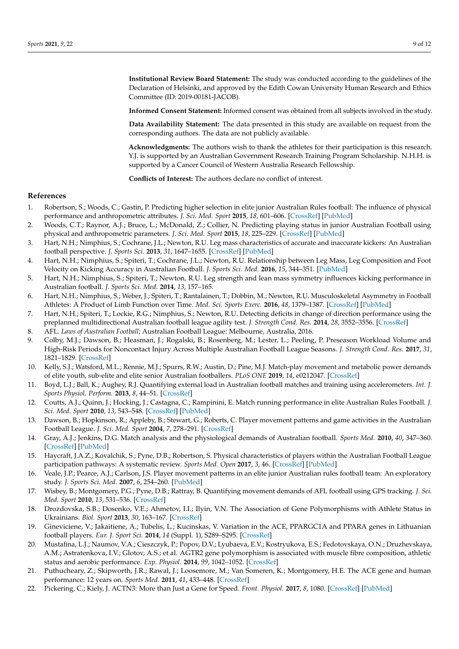**Institutional Review Board Statement:** The study was conducted according to the guidelines of the Declaration of Helsinki, and approved by the Edith Cowan University Human Research and Ethics Committee (ID: 2019-00181-JACOB).

**Informed Consent Statement:** Informed consent was obtained from all subjects involved in the study.

**Data Availability Statement:** The data presented in this study are available on request from the corresponding authors. The data are not publicly available.

**Acknowledgments:** The authors wish to thank the athletes for their participation is this research. Y.J. is supported by an Australian Government Research Training Program Scholarship. N.H.H. is supported by a Cancer Council of Western Australia Research Fellowship.

**Conflicts of Interest:** The authors declare no conflict of interest.

#### **References**

- <span id="page-10-0"></span>1. Robertson, S.; Woods, C.; Gastin, P. Predicting higher selection in elite junior Australian Rules football: The influence of physical performance and anthropometric attributes. *J. Sci. Med. Sport* **2015**, *18*, 601–606. [\[CrossRef\]](http://doi.org/10.1016/j.jsams.2014.07.019) [\[PubMed\]](http://www.ncbi.nlm.nih.gov/pubmed/25154704)
- 2. Woods, C.T.; Raynor, A.J.; Bruce, L.; McDonald, Z.; Collier, N. Predicting playing status in junior Australian Football using physical and anthropometric parameters. *J. Sci. Med. Sport* **2015**, *18*, 225–229. [\[CrossRef\]](http://doi.org/10.1016/j.jsams.2014.02.006) [\[PubMed\]](http://www.ncbi.nlm.nih.gov/pubmed/24613146)
- 3. Hart, N.H.; Nimphius, S.; Cochrane, J.L.; Newton, R.U. Leg mass characteristics of accurate and inaccurate kickers: An Australian football perspective. *J. Sports Sci.* **2013**, *31*, 1647–1655. [\[CrossRef\]](http://doi.org/10.1080/02640414.2013.793377) [\[PubMed\]](http://www.ncbi.nlm.nih.gov/pubmed/23687978)
- 4. Hart, N.H.; Nimphius, S.; Spiteri, T.; Cochrane, J.L.; Newton, R.U. Relationship between Leg Mass, Leg Composition and Foot Velocity on Kicking Accuracy in Australian Football. *J. Sports Sci. Med.* **2016**, *15*, 344–351. [\[PubMed\]](http://www.ncbi.nlm.nih.gov/pubmed/27274674)
- 5. Hart, N.H.; Nimphius, S.; Spiteri, T.; Newton, R.U. Leg strength and lean mass symmetry influences kicking performance in Australian football. *J. Sports Sci. Med.* **2014**, *13*, 157–165.
- 6. Hart, N.H.; Nimphius, S.; Weber, J.; Spiteri, T.; Rantalainen, T.; Dobbin, M.; Newton, R.U. Musculoskeletal Asymmetry in Football Athletes: A Product of Limb Function over Time. *Med. Sci. Sports Exerc.* **2016**, *48*, 1379–1387. [\[CrossRef\]](http://doi.org/10.1249/MSS.0000000000000897) [\[PubMed\]](http://www.ncbi.nlm.nih.gov/pubmed/26871989)
- <span id="page-10-1"></span>7. Hart, N.H.; Spiteri, T.; Lockie, R.G.; Nimphius, S.; Newton, R.U. Detecting deficits in change of direction performance using the preplanned multidirectional Australian football league agility test. *J. Strength Cond. Res.* **2014**, *28*, 3552–3556. [\[CrossRef\]](http://doi.org/10.1519/JSC.0000000000000587)
- <span id="page-10-2"></span>8. AFL. *Laws of Australian Football*; Australian Football League: Melbourne, Australia, 2016.
- <span id="page-10-3"></span>9. Colby, M.J.; Dawson, B.; Heasman, J.; Rogalski, B.; Rosenberg, M.; Lester, L.; Peeling, P. Preseason Workload Volume and High-Risk Periods for Noncontact Injury Across Multiple Australian Football League Seasons. *J. Strength Cond. Res.* **2017**, *31*, 1821–1829. [\[CrossRef\]](http://doi.org/10.1519/JSC.0000000000001669)
- <span id="page-10-4"></span>10. Kelly, S.J.; Watsford, M.L.; Rennie, M.J.; Spurrs, R.W.; Austin, D.; Pine, M.J. Match-play movement and metabolic power demands of elite youth, sub-elite and elite senior Australian footballers. *PLoS ONE* **2019**, *14*, e0212047. [\[CrossRef\]](http://doi.org/10.1371/journal.pone.0212047)
- <span id="page-10-5"></span>11. Boyd, L.J.; Ball, K.; Aughey, R.J. Quantifying external load in Australian football matches and training using accelerometers. *Int. J. Sports Physiol. Perform.* **2013**, *8*, 44–51. [\[CrossRef\]](http://doi.org/10.1123/ijspp.8.1.44)
- 12. Coutts, A.J.; Quinn, J.; Hocking, J.; Castagna, C.; Rampinini, E. Match running performance in elite Australian Rules Football. *J. Sci. Med. Sport* **2010**, *13*, 543–548. [\[CrossRef\]](http://doi.org/10.1016/j.jsams.2009.09.004) [\[PubMed\]](http://www.ncbi.nlm.nih.gov/pubmed/19853508)
- 13. Dawson, B.; Hopkinson, R.; Appleby, B.; Stewart, G.; Roberts, C. Player movement patterns and game activities in the Australian Football League. *J. Sci. Med. Sport* **2004**, *7*, 278–291. [\[CrossRef\]](http://doi.org/10.1016/S1440-2440(04)80023-9)
- <span id="page-10-7"></span>14. Gray, A.J.; Jenkins, D.G. Match analysis and the physiological demands of Australian football. *Sports Med.* **2010**, *40*, 347–360. [\[CrossRef\]](http://doi.org/10.2165/11531400-000000000-00000) [\[PubMed\]](http://www.ncbi.nlm.nih.gov/pubmed/20364877)
- 15. Haycraft, J.A.Z.; Kovalchik, S.; Pyne, D.B.; Robertson, S. Physical characteristics of players within the Australian Football League participation pathways: A systematic review. *Sports Med. Open* **2017**, *3*, 46. [\[CrossRef\]](http://doi.org/10.1186/s40798-017-0109-9) [\[PubMed\]](http://www.ncbi.nlm.nih.gov/pubmed/29260420)
- 16. Veale, J.P.; Pearce, A.J.; Carlson, J.S. Player movement patterns in an elite junior Australian rules football team: An exploratory study. *J. Sports Sci. Med.* **2007**, *6*, 254–260. [\[PubMed\]](http://www.ncbi.nlm.nih.gov/pubmed/24149337)
- <span id="page-10-6"></span>17. Wisbey, B.; Montgomery, P.G.; Pyne, D.B.; Rattray, B. Quantifying movement demands of AFL football using GPS tracking. *J. Sci. Med. Sport* **2010**, *13*, 531–536. [\[CrossRef\]](http://doi.org/10.1016/j.jsams.2009.09.002)
- <span id="page-10-8"></span>18. Drozdovska, S.B.; Dosenko, V.E.; Ahmetov, I.I.; Ilyin, V.N. The Association of Gene Polymorphisms with Athlete Status in Ukrainians. *Biol. Sport* **2013**, *30*, 163–167. [\[CrossRef\]](http://doi.org/10.5604/20831862.1059168)
- 19. Gineviciene, V.; Jakaitiene, A.; Tubelis, L.; Kucinskas, V. Variation in the ACE, PPARGC1A and PPARA genes in Lithuanian football players. *Eur. J. Sport Sci.* **2014**, *14* (Suppl. 1), S289–S295. [\[CrossRef\]](http://doi.org/10.1080/17461391.2012.691117)
- 20. Mustafina, L.J.; Naumov, V.A.; Cieszczyk, P.; Popov, D.V.; Lyubaeva, E.V.; Kostryukova, E.S.; Fedotovskaya, O.N.; Druzhevskaya, A.M.; Astratenkova, I.V.; Glotov, A.S.; et al. AGTR2 gene polymorphism is associated with muscle fibre composition, athletic status and aerobic performance. *Exp. Physiol.* **2014**, *99*, 1042–1052. [\[CrossRef\]](http://doi.org/10.1113/expphysiol.2014.079335)
- 21. Puthucheary, Z.; Skipworth, J.R.; Rawal, J.; Loosemore, M.; Van Someren, K.; Montgomery, H.E. The ACE gene and human performance: 12 years on. *Sports Med.* **2011**, *41*, 433–448. [\[CrossRef\]](http://doi.org/10.2165/11588720-000000000-00000)
- <span id="page-10-9"></span>22. Pickering, C.; Kiely, J. ACTN3: More than Just a Gene for Speed. *Front. Physiol.* **2017**, *8*, 1080. [\[CrossRef\]](http://doi.org/10.3389/fphys.2017.01080) [\[PubMed\]](http://www.ncbi.nlm.nih.gov/pubmed/29326606)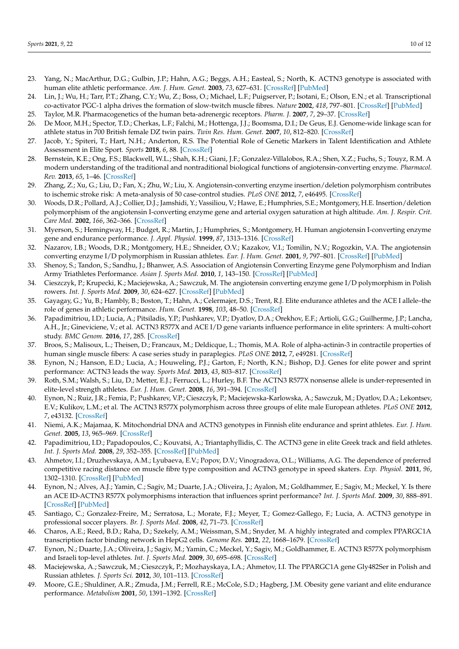- <span id="page-11-13"></span>23. Yang, N.; MacArthur, D.G.; Gulbin, J.P.; Hahn, A.G.; Beggs, A.H.; Easteal, S.; North, K. ACTN3 genotype is associated with human elite athletic performance. *Am. J. Hum. Genet.* **2003**, *73*, 627–631. [\[CrossRef\]](http://doi.org/10.1086/377590) [\[PubMed\]](http://www.ncbi.nlm.nih.gov/pubmed/12879365)
- <span id="page-11-22"></span>24. Lin, J.; Wu, H.; Tarr, P.T.; Zhang, C.Y.; Wu, Z.; Boss, O.; Michael, L.F.; Puigserver, P.; Isotani, E.; Olson, E.N.; et al. Transcriptional co-activator PGC-1 alpha drives the formation of slow-twitch muscle fibres. *Nature* **2002**, *418*, 797–801. [\[CrossRef\]](http://doi.org/10.1038/nature00904) [\[PubMed\]](http://www.ncbi.nlm.nih.gov/pubmed/12181572)
- <span id="page-11-0"></span>25. Taylor, M.R. Pharmacogenetics of the human beta-adrenergic receptors. *Pharm. J.* **2007**, *7*, 29–37. [\[CrossRef\]](http://doi.org/10.1038/sj.tpj.6500393)
- <span id="page-11-1"></span>26. De Moor, M.H.; Spector, T.D.; Cherkas, L.F.; Falchi, M.; Hottenga, J.J.; Boomsma, D.I.; De Geus, E.J. Genome-wide linkage scan for athlete status in 700 British female DZ twin pairs. *Twin Res. Hum. Genet.* **2007**, *10*, 812–820. [\[CrossRef\]](http://doi.org/10.1375/twin.10.6.812)
- <span id="page-11-2"></span>27. Jacob, Y.; Spiteri, T.; Hart, N.H.; Anderton, R.S. The Potential Role of Genetic Markers in Talent Identification and Athlete Assessment in Elite Sport. *Sports* **2018**, *6*, 88. [\[CrossRef\]](http://doi.org/10.3390/sports6030088)
- <span id="page-11-3"></span>28. Bernstein, K.E.; Ong, F.S.; Blackwell, W.L.; Shah, K.H.; Giani, J.F.; Gonzalez-Villalobos, R.A.; Shen, X.Z.; Fuchs, S.; Touyz, R.M. A modern understanding of the traditional and nontraditional biological functions of angiotensin-converting enzyme. *Pharmacol. Rev.* **2013**, *65*, 1–46. [\[CrossRef\]](http://doi.org/10.1124/pr.112.006809)
- <span id="page-11-4"></span>29. Zhang, Z.; Xu, G.; Liu, D.; Fan, X.; Zhu, W.; Liu, X. Angiotensin-converting enzyme insertion/deletion polymorphism contributes to ischemic stroke risk: A meta-analysis of 50 case-control studies. *PLoS ONE* **2012**, *7*, e46495. [\[CrossRef\]](http://doi.org/10.1371/journal.pone.0046495)
- <span id="page-11-5"></span>30. Woods, D.R.; Pollard, A.J.; Collier, D.J.; Jamshidi, Y.; Vassiliou, V.; Hawe, E.; Humphries, S.E.; Montgomery, H.E. Insertion/deletion polymorphism of the angiotensin I-converting enzyme gene and arterial oxygen saturation at high altitude. *Am. J. Respir. Crit. Care Med.* **2002**, *166*, 362–366. [\[CrossRef\]](http://doi.org/10.1164/rccm.2103060)
- <span id="page-11-6"></span>31. Myerson, S.; Hemingway, H.; Budget, R.; Martin, J.; Humphries, S.; Montgomery, H. Human angiotensin I-converting enzyme gene and endurance performance. *J. Appl. Physiol.* **1999**, *87*, 1313–1316. [\[CrossRef\]](http://doi.org/10.1152/jappl.1999.87.4.1313)
- <span id="page-11-7"></span>32. Nazarov, I.B.; Woods, D.R.; Montgomery, H.E.; Shneider, O.V.; Kazakov, V.I.; Tomilin, N.V.; Rogozkin, V.A. The angiotensin converting enzyme I/D polymorphism in Russian athletes. *Eur. J. Hum. Genet.* **2001**, *9*, 797–801. [\[CrossRef\]](http://doi.org/10.1038/sj.ejhg.5200711) [\[PubMed\]](http://www.ncbi.nlm.nih.gov/pubmed/11781693)
- <span id="page-11-8"></span>33. Shenoy, S.; Tandon, S.; Sandhu, J.; Bhanwer, A.S. Association of Angiotensin Converting Enzyme gene Polymorphism and Indian Army Triathletes Performance. *Asian J. Sports Med.* **2010**, *1*, 143–150. [\[CrossRef\]](http://doi.org/10.5812/asjsm.34855) [\[PubMed\]](http://www.ncbi.nlm.nih.gov/pubmed/22375202)
- <span id="page-11-9"></span>34. Cieszczyk, P.; Krupecki, K.; Maciejewska, A.; Sawczuk, M. The angiotensin converting enzyme gene I/D polymorphism in Polish rowers. *Int. J. Sports Med.* **2009**, *30*, 624–627. [\[CrossRef\]](http://doi.org/10.1055/s-0029-1202825) [\[PubMed\]](http://www.ncbi.nlm.nih.gov/pubmed/19455482)
- <span id="page-11-10"></span>35. Gayagay, G.; Yu, B.; Hambly, B.; Boston, T.; Hahn, A.; Celermajer, D.S.; Trent, R.J. Elite endurance athletes and the ACE I allele–the role of genes in athletic performance. *Hum. Genet.* **1998**, *103*, 48–50. [\[CrossRef\]](http://doi.org/10.1007/s004390050781)
- <span id="page-11-11"></span>36. Papadimitriou, I.D.; Lucia, A.; Pitsiladis, Y.P.; Pushkarev, V.P.; Dyatlov, D.A.; Orekhov, E.F.; Artioli, G.G.; Guilherme, J.P.; Lancha, A.H., Jr.; Gineviciene, V.; et al. ACTN3 R577X and ACE I/D gene variants influence performance in elite sprinters: A multi-cohort study. *BMC Genom.* **2016**, *17*, 285. [\[CrossRef\]](http://doi.org/10.1186/s12864-016-2462-3)
- <span id="page-11-12"></span>37. Broos, S.; Malisoux, L.; Theisen, D.; Francaux, M.; Deldicque, L.; Thomis, M.A. Role of alpha-actinin-3 in contractile properties of human single muscle fibers: A case series study in paraplegics. *PLoS ONE* **2012**, *7*, e49281. [\[CrossRef\]](http://doi.org/10.1371/journal.pone.0049281)
- <span id="page-11-14"></span>38. Eynon, N.; Hanson, E.D.; Lucia, A.; Houweling, P.J.; Garton, F.; North, K.N.; Bishop, D.J. Genes for elite power and sprint performance: ACTN3 leads the way. *Sports Med.* **2013**, *43*, 803–817. [\[CrossRef\]](http://doi.org/10.1007/s40279-013-0059-4)
- <span id="page-11-15"></span>39. Roth, S.M.; Walsh, S.; Liu, D.; Metter, E.J.; Ferrucci, L.; Hurley, B.F. The ACTN3 R577X nonsense allele is under-represented in elite-level strength athletes. *Eur. J. Hum. Genet.* **2008**, *16*, 391–394. [\[CrossRef\]](http://doi.org/10.1038/sj.ejhg.5201964)
- <span id="page-11-16"></span>40. Eynon, N.; Ruiz, J.R.; Femia, P.; Pushkarev, V.P.; Cieszczyk, P.; Maciejewska-Karlowska, A.; Sawczuk, M.; Dyatlov, D.A.; Lekontsev, E.V.; Kulikov, L.M.; et al. The ACTN3 R577X polymorphism across three groups of elite male European athletes. *PLoS ONE* **2012**, *7*, e43132. [\[CrossRef\]](http://doi.org/10.1371/journal.pone.0043132)
- <span id="page-11-19"></span>41. Niemi, A.K.; Majamaa, K. Mitochondrial DNA and ACTN3 genotypes in Finnish elite endurance and sprint athletes. *Eur. J. Hum. Genet.* **2005**, *13*, 965–969. [\[CrossRef\]](http://doi.org/10.1038/sj.ejhg.5201438)
- <span id="page-11-17"></span>42. Papadimitriou, I.D.; Papadopoulos, C.; Kouvatsi, A.; Triantaphyllidis, C. The ACTN3 gene in elite Greek track and field athletes. *Int. J. Sports Med.* **2008**, *29*, 352–355. [\[CrossRef\]](http://doi.org/10.1055/s-2007-965339) [\[PubMed\]](http://www.ncbi.nlm.nih.gov/pubmed/17879893)
- <span id="page-11-18"></span>43. Ahmetov, I.I.; Druzhevskaya, A.M.; Lyubaeva, E.V.; Popov, D.V.; Vinogradova, O.L.; Williams, A.G. The dependence of preferred competitive racing distance on muscle fibre type composition and ACTN3 genotype in speed skaters. *Exp. Physiol.* **2011**, *96*, 1302–1310. [\[CrossRef\]](http://doi.org/10.1113/expphysiol.2011.060293) [\[PubMed\]](http://www.ncbi.nlm.nih.gov/pubmed/21930675)
- <span id="page-11-20"></span>44. Eynon, N.; Alves, A.J.; Yamin, C.; Sagiv, M.; Duarte, J.A.; Oliveira, J.; Ayalon, M.; Goldhammer, E.; Sagiv, M.; Meckel, Y. Is there an ACE ID-ACTN3 R577X polymorphisms interaction that influences sprint performance? *Int. J. Sports Med.* **2009**, *30*, 888–891. [\[CrossRef\]](http://doi.org/10.1055/s-0029-1238291) [\[PubMed\]](http://www.ncbi.nlm.nih.gov/pubmed/20013558)
- <span id="page-11-21"></span>45. Santiago, C.; Gonzalez-Freire, M.; Serratosa, L.; Morate, F.J.; Meyer, T.; Gomez-Gallego, F.; Lucia, A. ACTN3 genotype in professional soccer players. *Br. J. Sports Med.* **2008**, *42*, 71–73. [\[CrossRef\]](http://doi.org/10.1136/bjsm.2007.039172)
- <span id="page-11-23"></span>46. Charos, A.E.; Reed, B.D.; Raha, D.; Szekely, A.M.; Weissman, S.M.; Snyder, M. A highly integrated and complex PPARGC1A transcription factor binding network in HepG2 cells. *Genome Res.* **2012**, *22*, 1668–1679. [\[CrossRef\]](http://doi.org/10.1101/gr.127761.111)
- 47. Eynon, N.; Duarte, J.A.; Oliveira, J.; Sagiv, M.; Yamin, C.; Meckel, Y.; Sagiv, M.; Goldhammer, E. ACTN3 R577X polymorphism and Israeli top-level athletes. *Int. J. Sports Med.* **2009**, *30*, 695–698. [\[CrossRef\]](http://doi.org/10.1055/s-0029-1220731)
- <span id="page-11-24"></span>48. Maciejewska, A.; Sawczuk, M.; Cieszczyk, P.; Mozhayskaya, I.A.; Ahmetov, I.I. The PPARGC1A gene Gly482Ser in Polish and Russian athletes. *J. Sports Sci.* **2012**, *30*, 101–113. [\[CrossRef\]](http://doi.org/10.1080/02640414.2011.623709)
- 49. Moore, G.E.; Shuldiner, A.R.; Zmuda, J.M.; Ferrell, R.E.; McCole, S.D.; Hagberg, J.M. Obesity gene variant and elite endurance performance. *Metabolism* **2001**, *50*, 1391–1392. [\[CrossRef\]](http://doi.org/10.1053/meta.2001.28140)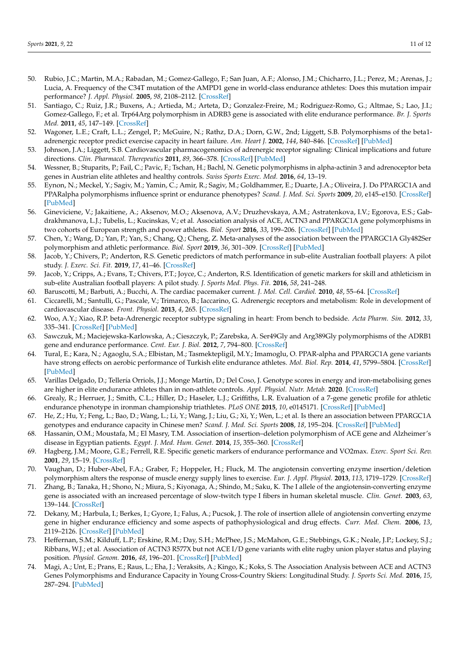- 50. Rubio, J.C.; Martin, M.A.; Rabadan, M.; Gomez-Gallego, F.; San Juan, A.F.; Alonso, J.M.; Chicharro, J.L.; Perez, M.; Arenas, J.; Lucia, A. Frequency of the C34T mutation of the AMPD1 gene in world-class endurance athletes: Does this mutation impair performance? *J. Appl. Physiol.* **2005**, *98*, 2108–2112. [\[CrossRef\]](http://doi.org/10.1152/japplphysiol.01371.2004)
- 51. Santiago, C.; Ruiz, J.R.; Buxens, A.; Artieda, M.; Arteta, D.; Gonzalez-Freire, M.; Rodriguez-Romo, G.; Altmae, S.; Lao, J.I.; Gomez-Gallego, F.; et al. Trp64Arg polymorphism in ADRB3 gene is associated with elite endurance performance. *Br. J. Sports Med.* **2011**, *45*, 147–149. [\[CrossRef\]](http://doi.org/10.1136/bjsm.2009.061366)
- <span id="page-12-0"></span>52. Wagoner, L.E.; Craft, L.L.; Zengel, P.; McGuire, N.; Rathz, D.A.; Dorn, G.W., 2nd; Liggett, S.B. Polymorphisms of the beta1 adrenergic receptor predict exercise capacity in heart failure. *Am. Heart J.* **2002**, *144*, 840–846. [\[CrossRef\]](http://doi.org/10.1067/mhj.2002.125325) [\[PubMed\]](http://www.ncbi.nlm.nih.gov/pubmed/12422153)
- <span id="page-12-1"></span>53. Johnson, J.A.; Liggett, S.B. Cardiovascular pharmacogenomics of adrenergic receptor signaling: Clinical implications and future directions. *Clin. Pharmacol. Therepeutics* **2011**, *89*, 366–378. [\[CrossRef\]](http://doi.org/10.1038/clpt.2010.315) [\[PubMed\]](http://www.ncbi.nlm.nih.gov/pubmed/21289619)
- <span id="page-12-2"></span>54. Wessner, B.; Stuparits, P.; Fail, C.; Pavic, F.; Tschan, H.; Bachl, N. Genetic polymorphisms in alpha-actinin 3 and adrenoceptor beta genes in Austrian elite athletes and healthy controls. *Swiss Sports Exerc. Med.* **2016**, *64*, 13–19.
- <span id="page-12-3"></span>55. Eynon, N.; Meckel, Y.; Sagiv, M.; Yamin, C.; Amir, R.; Sagiv, M.; Goldhammer, E.; Duarte, J.A.; Oliveira, J. Do PPARGC1A and PPARalpha polymorphisms influence sprint or endurance phenotypes? *Scand. J. Med. Sci. Sports* **2009**, *20*, e145–e150. [\[CrossRef\]](http://doi.org/10.1111/j.1600-0838.2009.00930.x) [\[PubMed\]](http://www.ncbi.nlm.nih.gov/pubmed/19422653)
- <span id="page-12-4"></span>56. Gineviciene, V.; Jakaitiene, A.; Aksenov, M.O.; Aksenova, A.V.; Druzhevskaya, A.M.; Astratenkova, I.V.; Egorova, E.S.; Gabdrakhmanova, L.J.; Tubelis, L.; Kucinskas, V.; et al. Association analysis of ACE, ACTN3 and PPARGC1A gene polymorphisms in two cohorts of European strength and power athletes. *Biol. Sport* **2016**, *33*, 199–206. [\[CrossRef\]](http://doi.org/10.5604/20831862.1201051) [\[PubMed\]](http://www.ncbi.nlm.nih.gov/pubmed/27601773)
- <span id="page-12-5"></span>57. Chen, Y.; Wang, D.; Yan, P.; Yan, S.; Chang, Q.; Cheng, Z. Meta-analyses of the association between the PPARGC1A Gly482Ser polymorphism and athletic performance. *Biol. Sport* **2019**, *36*, 301–309. [\[CrossRef\]](http://doi.org/10.5114/biolsport.2019.88752) [\[PubMed\]](http://www.ncbi.nlm.nih.gov/pubmed/31938000)
- <span id="page-12-6"></span>58. Jacob, Y.; Chivers, P.; Anderton, R.S. Genetic predictors of match performance in sub-elite Australian football players: A pilot study. *J. Exerc. Sci. Fit.* **2019**, *17*, 41–46. [\[CrossRef\]](http://doi.org/10.1016/j.jesf.2018.10.007)
- <span id="page-12-7"></span>59. Jacob, Y.; Cripps, A.; Evans, T.; Chivers, P.T.; Joyce, C.; Anderton, R.S. Identification of genetic markers for skill and athleticism in sub-elite Australian football players: A pilot study. *J. Sports Med. Phys. Fit.* **2016**, *58*, 241–248.
- <span id="page-12-8"></span>60. Baruscotti, M.; Barbuti, A.; Bucchi, A. The cardiac pacemaker current. *J. Mol. Cell. Cardiol.* **2010**, *48*, 55–64. [\[CrossRef\]](http://doi.org/10.1016/j.yjmcc.2009.06.019)
- 61. Ciccarelli, M.; Santulli, G.; Pascale, V.; Trimarco, B.; Iaccarino, G. Adrenergic receptors and metabolism: Role in development of cardiovascular disease. *Front. Physiol.* **2013**, *4*, 265. [\[CrossRef\]](http://doi.org/10.3389/fphys.2013.00265)
- <span id="page-12-9"></span>62. Woo, A.Y.; Xiao, R.P. beta-Adrenergic receptor subtype signaling in heart: From bench to bedside. *Acta Pharm. Sin.* **2012**, *33*, 335–341. [\[CrossRef\]](http://doi.org/10.1038/aps.2011.201) [\[PubMed\]](http://www.ncbi.nlm.nih.gov/pubmed/22286918)
- <span id="page-12-10"></span>63. Sawczuk, M.; Maciejewska-Karlowska, A.; Cieszczyk, P.; Zarebska, A. Ser49Gly and Arg389Gly polymorphisms of the ADRB1 gene and endurance performance. *Cent. Eur. J. Biol.* **2012**, *7*, 794–800. [\[CrossRef\]](http://doi.org/10.2478/s11535-012-0078-4)
- <span id="page-12-11"></span>64. Tural, E.; Kara, N.; Agaoglu, S.A.; Elbistan, M.; Tasmektepligil, M.Y.; Imamoglu, O. PPAR-alpha and PPARGC1A gene variants have strong effects on aerobic performance of Turkish elite endurance athletes. *Mol. Biol. Rep.* **2014**, *41*, 5799–5804. [\[CrossRef\]](http://doi.org/10.1007/s11033-014-3453-6) [\[PubMed\]](http://www.ncbi.nlm.nih.gov/pubmed/24996283)
- <span id="page-12-12"></span>65. Varillas Delgado, D.; Tellería Orriols, J.J.; Monge Martín, D.; Del Coso, J. Genotype scores in energy and iron-metabolising genes are higher in elite endurance athletes than in non-athlete controls. *Appl. Physiol. Nutr. Metab.* **2020**. [\[CrossRef\]](http://doi.org/10.1139/apnm-2020-0174)
- <span id="page-12-13"></span>66. Grealy, R.; Herruer, J.; Smith, C.L.; Hiller, D.; Haseler, L.J.; Griffiths, L.R. Evaluation of a 7-gene genetic profile for athletic endurance phenotype in ironman championship triathletes. *PLoS ONE* **2015**, *10*, e0145171. [\[CrossRef\]](http://doi.org/10.1371/journal.pone.0145171) [\[PubMed\]](http://www.ncbi.nlm.nih.gov/pubmed/26716680)
- <span id="page-12-14"></span>67. He, Z.; Hu, Y.; Feng, L.; Bao, D.; Wang, L.; Li, Y.; Wang, J.; Liu, G.; Xi, Y.; Wen, L.; et al. Is there an association between PPARGC1A genotypes and endurance capacity in Chinese men? *Scand. J. Med. Sci. Sports* **2008**, *18*, 195–204. [\[CrossRef\]](http://doi.org/10.1111/j.1600-0838.2007.00648.x) [\[PubMed\]](http://www.ncbi.nlm.nih.gov/pubmed/17490458)
- <span id="page-12-15"></span>68. Hassanin, O.M.; Moustafa, M.; El Masry, T.M. Association of insertion–deletion polymorphism of ACE gene and Alzheimer's disease in Egyptian patients. *Egypt. J. Med. Hum. Genet.* **2014**, *15*, 355–360. [\[CrossRef\]](http://doi.org/10.1016/j.ejmhg.2014.06.001)
- <span id="page-12-16"></span>69. Hagberg, J.M.; Moore, G.E.; Ferrell, R.E. Specific genetic markers of endurance performance and VO2max. *Exerc. Sport Sci. Rev.* **2001**, *29*, 15–19. [\[CrossRef\]](http://doi.org/10.1097/00003677-200101000-00004)
- 70. Vaughan, D.; Huber-Abel, F.A.; Graber, F.; Hoppeler, H.; Fluck, M. The angiotensin converting enzyme insertion/deletion polymorphism alters the response of muscle energy supply lines to exercise. *Eur. J. Appl. Physiol.* **2013**, *113*, 1719–1729. [\[CrossRef\]](http://doi.org/10.1007/s00421-012-2583-6)
- 71. Zhang, B.; Tanaka, H.; Shono, N.; Miura, S.; Kiyonaga, A.; Shindo, M.; Saku, K. The I allele of the angiotensin-converting enzyme gene is associated with an increased percentage of slow-twitch type I fibers in human skeletal muscle. *Clin. Genet.* **2003**, *63*, 139–144. [\[CrossRef\]](http://doi.org/10.1034/j.1399-0004.2003.00029.x)
- <span id="page-12-17"></span>72. Dekany, M.; Harbula, I.; Berkes, I.; Gyore, I.; Falus, A.; Pucsok, J. The role of insertion allele of angiotensin converting enzyme gene in higher endurance efficiency and some aspects of pathophysiological and drug effects. *Curr. Med. Chem.* **2006**, *13*, 2119–2126. [\[CrossRef\]](http://doi.org/10.2174/092986706777935285) [\[PubMed\]](http://www.ncbi.nlm.nih.gov/pubmed/16918342)
- <span id="page-12-18"></span>73. Heffernan, S.M.; Kilduff, L.P.; Erskine, R.M.; Day, S.H.; McPhee, J.S.; McMahon, G.E.; Stebbings, G.K.; Neale, J.P.; Lockey, S.J.; Ribbans, W.J.; et al. Association of ACTN3 R577X but not ACE I/D gene variants with elite rugby union player status and playing position. *Physiol. Genom.* **2016**, *48*, 196–201. [\[CrossRef\]](http://doi.org/10.1152/physiolgenomics.00107.2015) [\[PubMed\]](http://www.ncbi.nlm.nih.gov/pubmed/26757799)
- <span id="page-12-19"></span>74. Magi, A.; Unt, E.; Prans, E.; Raus, L.; Eha, J.; Veraksits, A.; Kingo, K.; Koks, S. The Association Analysis between ACE and ACTN3 Genes Polymorphisms and Endurance Capacity in Young Cross-Country Skiers: Longitudinal Study. *J. Sports Sci. Med.* **2016**, *15*, 287–294. [\[PubMed\]](http://www.ncbi.nlm.nih.gov/pubmed/27274666)